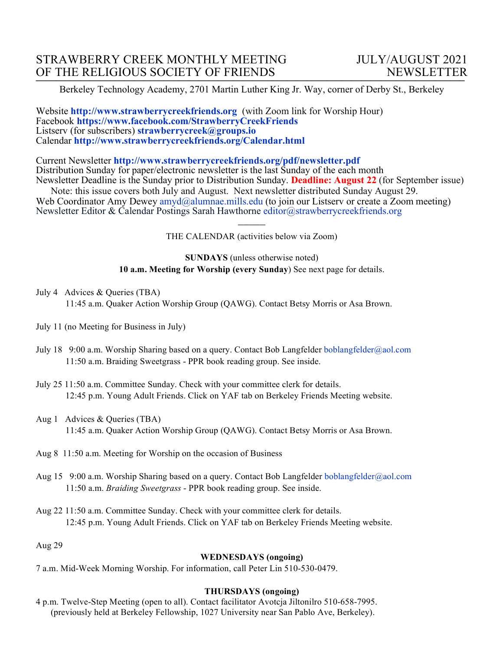Berkeley Technology Academy, 2701 Martin Luther King Jr. Way, corner of Derby St., Berkeley

Website **http://www.strawberrycreekfriends.org** (with Zoom link for Worship Hour) Facebook **https://www.facebook.com/StrawberryCreekFriends** Listserv (for subscribers) **strawberrycreek@groups.io** Calendar **http://www.strawberrycreekfriends.org/Calendar.html**

Current Newsletter **http://www.strawberrycreekfriends.org/pdf/newsletter.pdf** Distribution Sunday for paper/electronic newsletter is the last Sunday of the each month Newsletter Deadline is the Sunday prior to Distribution Sunday. **Deadline: August 22** (for September issue)

Note: this issue covers both July and August.Next newsletter distributed Sunday August 29. Web Coordinator Amy Dewey amyd@alumnae.mills.edu (to join our Listsery or create a Zoom meeting) Newsletter Editor & Calendar Postings Sarah Hawthorne editor@strawberrycreekfriends.org  $\overline{\phantom{a}}$ 

THE CALENDAR (activities below via Zoom)

**SUNDAYS** (unless otherwise noted) **10 a.m. Meeting for Worship (every Sunday**) See next page for details.

- July 4 Advices & Queries (TBA) 11:45 a.m. Quaker Action Worship Group (QAWG). Contact Betsy Morris or Asa Brown.
- July 11 (no Meeting for Business in July)
- July 18 9:00 a.m. Worship Sharing based on a query. Contact Bob Langfelder boblangfelder@aol.com 11:50 a.m. Braiding Sweetgrass - PPR book reading group. See inside.
- July 25 11:50 a.m. Committee Sunday. Check with your committee clerk for details. 12:45 p.m. Young Adult Friends. Click on YAF tab on Berkeley Friends Meeting website.
- Aug 1 Advices & Queries (TBA) 11:45 a.m. Quaker Action Worship Group (QAWG). Contact Betsy Morris or Asa Brown.
- Aug 8 11:50 a.m. Meeting for Worship on the occasion of Business
- Aug 15 9:00 a.m. Worship Sharing based on a query. Contact Bob Langfelder boblangfelder@aol.com 11:50 a.m. *Braiding Sweetgrass* - PPR book reading group. See inside.
- Aug 22 11:50 a.m. Committee Sunday. Check with your committee clerk for details. 12:45 p.m. Young Adult Friends. Click on YAF tab on Berkeley Friends Meeting website.

Aug 29

### **WEDNESDAYS (ongoing)**

7 a.m. Mid-Week Morning Worship. For information, call Peter Lin 510-530-0479.

### **THURSDAYS (ongoing)**

4 p.m. Twelve-Step Meeting (open to all). Contact facilitator Avotcja Jiltonilro 510-658-7995. (previously held at Berkeley Fellowship, 1027 University near San Pablo Ave, Berkeley).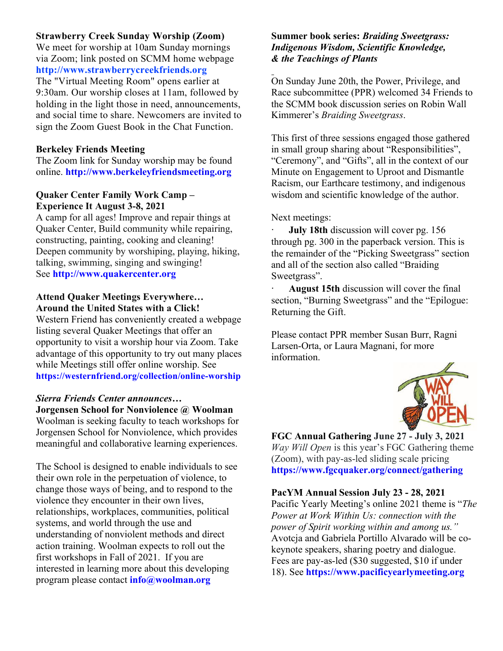## **Strawberry Creek Sunday Worship (Zoom)**

We meet for worship at 10am Sunday mornings via Zoom; link posted on SCMM home webpage **http://www.strawberrycreekfriends.org**

The "Virtual Meeting Room" opens earlier at 9:30am. Our worship closes at 11am, followed by holding in the light those in need, announcements, and social time to share. Newcomers are invited to sign the Zoom Guest Book in the Chat Function.

## **Berkeley Friends Meeting**

The Zoom link for Sunday worship may be found online. **http://www.berkeleyfriendsmeeting.org**

## **Quaker Center Family Work Camp – Experience It August 3-8, 2021**

A camp for all ages! Improve and repair things at Quaker Center, Build community while repairing, constructing, painting, cooking and cleaning! Deepen community by worshiping, playing, hiking, talking, swimming, singing and swinging! See **http://www.quakercenter.org**

#### **Attend Quaker Meetings Everywhere… Around the United States with a Click!**

Western Friend has conveniently created a webpage listing several Quaker Meetings that offer an opportunity to visit a worship hour via Zoom. Take advantage of this opportunity to try out many places while Meetings still offer online worship. See **https://westernfriend.org/collection/online-worship**

## *Sierra Friends Center announces…*

**Jorgensen School for Nonviolence @ Woolman** Woolman is seeking faculty to teach workshops for Jorgensen School for Nonviolence, which provides meaningful and collaborative learning experiences.

The School is designed to enable individuals to see their own role in the perpetuation of violence, to change those ways of being, and to respond to the violence they encounter in their own lives, relationships, workplaces, communities, political systems, and world through the use and understanding of nonviolent methods and direct action training. Woolman expects to roll out the first workshops in Fall of 2021. If you are interested in learning more about this developing program please contact **info@woolman.org**

## **Summer book series:** *Braiding Sweetgrass: Indigenous Wisdom, Scientific Knowledge, & the Teachings of Plants*

On Sunday June 20th, the Power, Privilege, and Race subcommittee (PPR) welcomed 34 Friends to the SCMM book discussion series on Robin Wall Kimmerer's *Braiding Sweetgrass*.

This first of three sessions engaged those gathered in small group sharing about "Responsibilities", "Ceremony", and "Gifts", all in the context of our Minute on Engagement to Uproot and Dismantle Racism, our Earthcare testimony, and indigenous wisdom and scientific knowledge of the author.

#### Next meetings:

**July 18th** discussion will cover pg. 156 through pg. 300 in the paperback version. This is the remainder of the "Picking Sweetgrass" section and all of the section also called "Braiding Sweetgrass".

August 15th discussion will cover the final section, "Burning Sweetgrass" and the "Epilogue: Returning the Gift.

Please contact PPR member Susan Burr, Ragni Larsen-Orta, or Laura Magnani, for more information.



**FGC Annual Gathering June 27 - July 3, 2021** *Way Will Open* is this year's FGC Gathering theme (Zoom), with pay-as-led sliding scale pricing **https://www.fgcquaker.org/connect/gathering**

### **PacYM Annual Session July 23 - 28, 2021**

Pacific Yearly Meeting's online 2021 theme is "*The Power at Work Within Us: connection with the power of Spirit working within and among us."* Avotcja and Gabriela Portillo Alvarado will be cokeynote speakers, sharing poetry and dialogue. Fees are pay-as-led (\$30 suggested, \$10 if under 18). See **https://www.pacificyearlymeeting.org**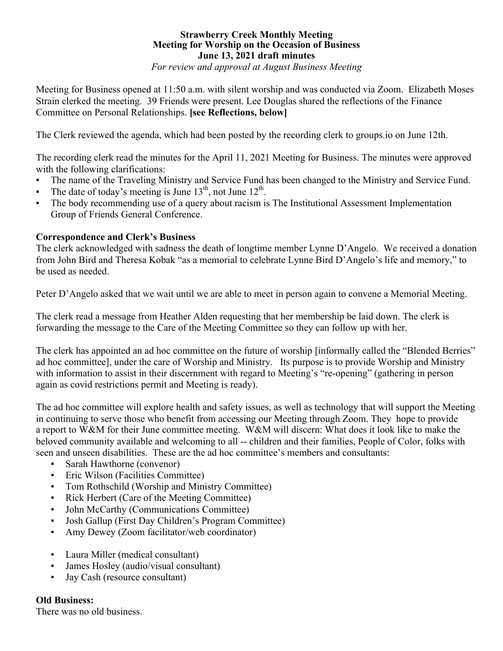## **Strawberry Creek Monthly Meeting Meeting for Worship on the Occasion of Business June 13, 2021 draft minutes**

*For review and approval at August Business Meeting*

Meeting for Business opened at 11:50 a.m. with silent worship and was conducted via Zoom. Elizabeth Moses Strain clerked the meeting. 39 Friends were present. Lee Douglas shared the reflections of the Finance Committee on Personal Relationships. **[see Reflections, below]**

The Clerk reviewed the agenda, which had been posted by the recording clerk to groups.io on June 12th.

The recording clerk read the minutes for the April 11, 2021 Meeting for Business. The minutes were approved with the following clarifications:

- The name of the Traveling Ministry and Service Fund has been changed to the Ministry and Service Fund.
- **•** The date of today's meeting is June  $13<sup>th</sup>$ , not June  $12<sup>th</sup>$ .
- The body recommending use of a query about racism is The Institutional Assessment Implementation Group of Friends General Conference.

### **Correspondence and Clerk's Business**

The clerk acknowledged with sadness the death of longtime member Lynne D'Angelo. We received a donation from John Bird and Theresa Kobak "as a memorial to celebrate Lynne Bird D'Angelo's life and memory," to be used as needed.

Peter D'Angelo asked that we wait until we are able to meet in person again to convene a Memorial Meeting.

The clerk read a message from Heather Alden requesting that her membership be laid down. The clerk is forwarding the message to the Care of the Meeting Committee so they can follow up with her.

The clerk has appointed an ad hoc committee on the future of worship [informally called the "Blended Berries" ad hoc committee], under the care of Worship and Ministry. Its purpose is to provide Worship and Ministry with information to assist in their discernment with regard to Meeting's "re-opening" (gathering in person again as covid restrictions permit and Meeting is ready).

The ad hoc committee will explore health and safety issues, as well as technology that will support the Meeting in continuing to serve those who benefit from accessing our Meeting through Zoom. They hope to provide a report to W&M for their June committee meeting. W&M will discern: What does it look like to make the beloved community available and welcoming to all -- children and their families, People of Color, folks with seen and unseen disabilities. These are the ad hoc committee's members and consultants:

- Sarah Hawthorne (convenor)
- Eric Wilson (Facilities Committee)
- Tom Rothschild (Worship and Ministry Committee)
- Rick Herbert (Care of the Meeting Committee)
- John McCarthy (Communications Committee)
- Josh Gallup (First Day Children's Program Committee)
- Amy Dewey (Zoom facilitator/web coordinator)
- Laura Miller (medical consultant)
- James Hosley (audio/visual consultant)
- Jay Cash (resource consultant)

### **Old Business:**

There was no old business.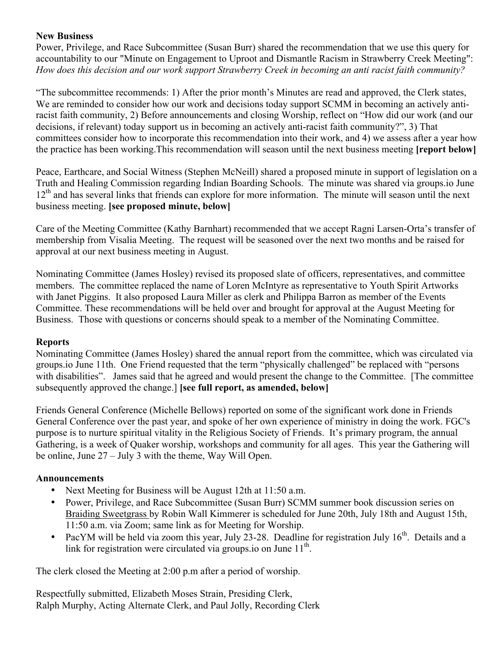## **New Business**

Power, Privilege, and Race Subcommittee (Susan Burr) shared the recommendation that we use this query for accountability to our "Minute on Engagement to Uproot and Dismantle Racism in Strawberry Creek Meeting": *How does this decision and our work support Strawberry Creek in becoming an anti racist faith community?*

"The subcommittee recommends: 1) After the prior month's Minutes are read and approved, the Clerk states, We are reminded to consider how our work and decisions today support SCMM in becoming an actively antiracist faith community, 2) Before announcements and closing Worship, reflect on "How did our work (and our decisions, if relevant) today support us in becoming an actively anti-racist faith community?", 3) That committees consider how to incorporate this recommendation into their work, and 4) we assess after a year how the practice has been working.This recommendation will season until the next business meeting **[report below]**

Peace, Earthcare, and Social Witness (Stephen McNeill) shared a proposed minute in support of legislation on a Truth and Healing Commission regarding Indian Boarding Schools. The minute was shared via groups.io June 12<sup>th</sup> and has several links that friends can explore for more information. The minute will season until the next business meeting. **[see proposed minute, below]**

Care of the Meeting Committee (Kathy Barnhart) recommended that we accept Ragni Larsen-Orta's transfer of membership from Visalia Meeting. The request will be seasoned over the next two months and be raised for approval at our next business meeting in August.

Nominating Committee (James Hosley) revised its proposed slate of officers, representatives, and committee members. The committee replaced the name of Loren McIntyre as representative to Youth Spirit Artworks with Janet Piggins. It also proposed Laura Miller as clerk and Philippa Barron as member of the Events Committee. These recommendations will be held over and brought for approval at the August Meeting for Business. Those with questions or concerns should speak to a member of the Nominating Committee.

## **Reports**

Nominating Committee (James Hosley) shared the annual report from the committee, which was circulated via groups.io June 11th. One Friend requested that the term "physically challenged" be replaced with "persons with disabilities". James said that he agreed and would present the change to the Committee. [The committee] subsequently approved the change.] **[see full report, as amended, below]**

Friends General Conference (Michelle Bellows) reported on some of the significant work done in Friends General Conference over the past year, and spoke of her own experience of ministry in doing the work. FGC's purpose is to nurture spiritual vitality in the Religious Society of Friends. It's primary program, the annual Gathering, is a week of Quaker worship, workshops and community for all ages. This year the Gathering will be online, June 27 – July 3 with the theme, Way Will Open.

# **Announcements**

- Next Meeting for Business will be August 12th at 11:50 a.m.
- Power, Privilege, and Race Subcommittee (Susan Burr) SCMM summer book discussion series on Braiding Sweetgrass by Robin Wall Kimmerer is scheduled for June 20th, July 18th and August 15th, 11:50 a.m. via Zoom; same link as for Meeting for Worship.
- PacYM will be held via zoom this year, July 23-28. Deadline for registration July  $16<sup>th</sup>$ . Details and a link for registration were circulated via groups.io on June  $11<sup>th</sup>$ .

The clerk closed the Meeting at 2:00 p.m after a period of worship.

Respectfully submitted, Elizabeth Moses Strain, Presiding Clerk, Ralph Murphy, Acting Alternate Clerk, and Paul Jolly, Recording Clerk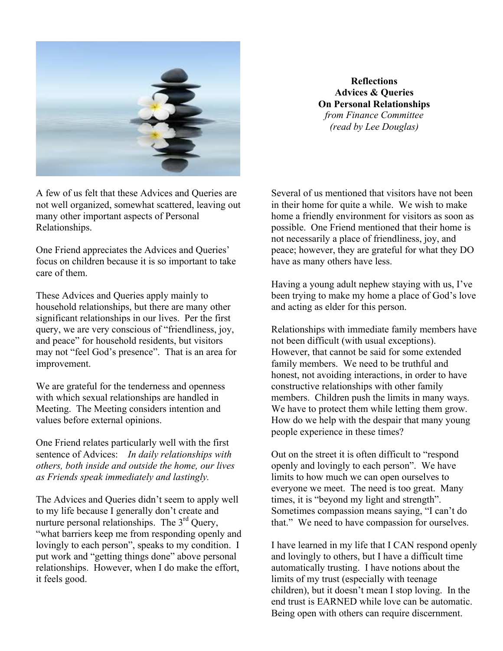

**Reflections Advices & Queries On Personal Relationships** *from Finance Committee (read by Lee Douglas)*

A few of us felt that these Advices and Queries are not well organized, somewhat scattered, leaving out many other important aspects of Personal Relationships.

One Friend appreciates the Advices and Queries' focus on children because it is so important to take care of them.

These Advices and Queries apply mainly to household relationships, but there are many other significant relationships in our lives. Per the first query, we are very conscious of "friendliness, joy, and peace" for household residents, but visitors may not "feel God's presence". That is an area for improvement.

We are grateful for the tenderness and openness with which sexual relationships are handled in Meeting. The Meeting considers intention and values before external opinions.

One Friend relates particularly well with the first sentence of Advices: *In daily relationships with others, both inside and outside the home, our lives as Friends speak immediately and lastingly.*

The Advices and Queries didn't seem to apply well to my life because I generally don't create and nurture personal relationships. The 3<sup>rd</sup> Query, "what barriers keep me from responding openly and lovingly to each person", speaks to my condition. I put work and "getting things done" above personal relationships. However, when I do make the effort, it feels good.

Several of us mentioned that visitors have not been in their home for quite a while. We wish to make home a friendly environment for visitors as soon as possible. One Friend mentioned that their home is not necessarily a place of friendliness, joy, and peace; however, they are grateful for what they DO have as many others have less.

Having a young adult nephew staying with us, I've been trying to make my home a place of God's love and acting as elder for this person.

Relationships with immediate family members have not been difficult (with usual exceptions). However, that cannot be said for some extended family members. We need to be truthful and honest, not avoiding interactions, in order to have constructive relationships with other family members. Children push the limits in many ways. We have to protect them while letting them grow. How do we help with the despair that many young people experience in these times?

Out on the street it is often difficult to "respond openly and lovingly to each person". We have limits to how much we can open ourselves to everyone we meet. The need is too great. Many times, it is "beyond my light and strength". Sometimes compassion means saying, "I can't do that." We need to have compassion for ourselves.

I have learned in my life that I CAN respond openly and lovingly to others, but I have a difficult time automatically trusting. I have notions about the limits of my trust (especially with teenage children), but it doesn't mean I stop loving. In the end trust is EARNED while love can be automatic. Being open with others can require discernment.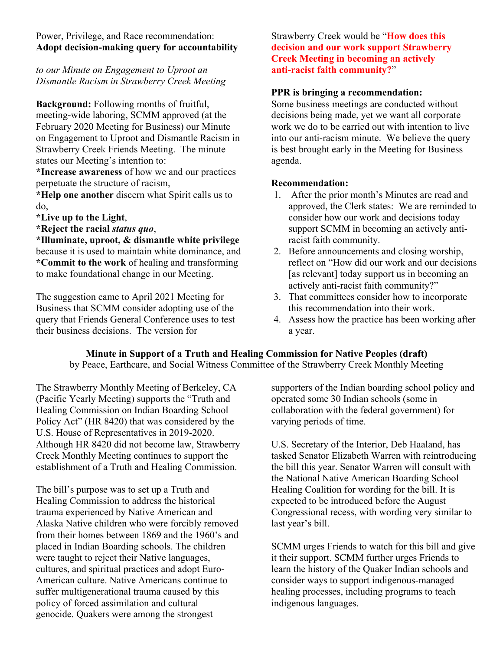## Power, Privilege, and Race recommendation: **Adopt decision-making query for accountability**

*to our Minute on Engagement to Uproot an Dismantle Racism in Strawberry Creek Meeting*

**Background:** Following months of fruitful, meeting-wide laboring, SCMM approved (at the February 2020 Meeting for Business) our Minute on Engagement to Uproot and Dismantle Racism in Strawberry Creek Friends Meeting. The minute states our Meeting's intention to:

**\*Increase awareness** of how we and our practices perpetuate the structure of racism,

**\*Help one another** discern what Spirit calls us to do,

- **\*Live up to the Light**,
- **\*Reject the racial** *status quo*,

**\*Illuminate, uproot, & dismantle white privilege** because it is used to maintain white dominance, and **\*Commit to the work** of healing and transforming to make foundational change in our Meeting.

The suggestion came to April 2021 Meeting for Business that SCMM consider adopting use of the query that Friends General Conference uses to test their business decisions. The version for

Strawberry Creek would be "**How does this decision and our work support Strawberry Creek Meeting in becoming an actively anti-racist faith community?**"

## **PPR is bringing a recommendation:**

Some business meetings are conducted without decisions being made, yet we want all corporate work we do to be carried out with intention to live into our anti-racism minute. We believe the query is best brought early in the Meeting for Business agenda.

## **Recommendation:**

- 1. After the prior month's Minutes are read and approved, the Clerk states: We are reminded to consider how our work and decisions today support SCMM in becoming an actively antiracist faith community.
- 2. Before announcements and closing worship, reflect on "How did our work and our decisions [as relevant] today support us in becoming an actively anti-racist faith community?"
- 3. That committees consider how to incorporate this recommendation into their work.
- 4. Assess how the practice has been working after a year.

## **Minute in Support of a Truth and Healing Commission for Native Peoples (draft)**

by Peace, Earthcare, and Social Witness Committee of the Strawberry Creek Monthly Meeting

The Strawberry Monthly Meeting of Berkeley, CA (Pacific Yearly Meeting) supports the "Truth and Healing Commission on Indian Boarding School Policy Act" (HR 8420) that was considered by the U.S. House of Representatives in 2019-2020. Although HR 8420 did not become law, Strawberry Creek Monthly Meeting continues to support the establishment of a Truth and Healing Commission.

The bill's purpose was to set up a Truth and Healing Commission to address the historical trauma experienced by Native American and Alaska Native children who were forcibly removed from their homes between 1869 and the 1960's and placed in Indian Boarding schools. The children were taught to reject their Native languages, cultures, and spiritual practices and adopt Euro-American culture. Native Americans continue to suffer multigenerational trauma caused by this policy of forced assimilation and cultural genocide. Quakers were among the strongest

supporters of the Indian boarding school policy and operated some 30 Indian schools (some in collaboration with the federal government) for varying periods of time.

U.S. Secretary of the Interior, Deb Haaland, has tasked Senator Elizabeth Warren with reintroducing the bill this year. Senator Warren will consult with the National Native American Boarding School Healing Coalition for wording for the bill. It is expected to be introduced before the August Congressional recess, with wording very similar to last year's bill.

SCMM urges Friends to watch for this bill and give it their support. SCMM further urges Friends to learn the history of the Quaker Indian schools and consider ways to support indigenous-managed healing processes, including programs to teach indigenous languages.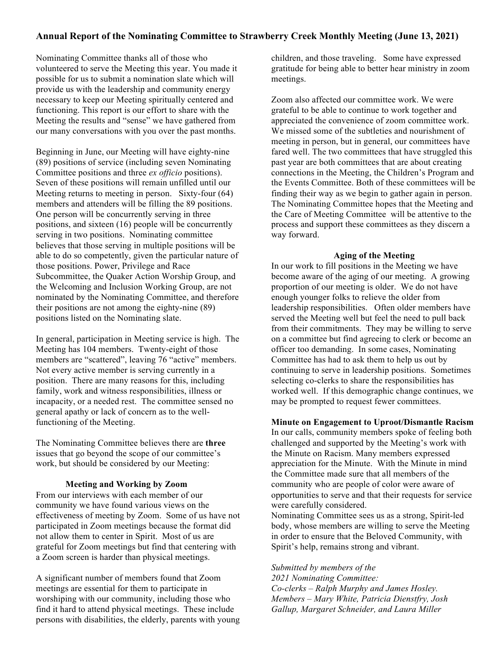## **Annual Report of the Nominating Committee to Strawberry Creek Monthly Meeting (June 13, 2021)**

Nominating Committee thanks all of those who volunteered to serve the Meeting this year. You made it possible for us to submit a nomination slate which will provide us with the leadership and community energy necessary to keep our Meeting spiritually centered and functioning. This report is our effort to share with the Meeting the results and "sense" we have gathered from our many conversations with you over the past months.

Beginning in June, our Meeting will have eighty-nine (89) positions of service (including seven Nominating Committee positions and three *ex officio* positions). Seven of these positions will remain unfilled until our Meeting returns to meeting in person. Sixty-four (64) members and attenders will be filling the 89 positions. One person will be concurrently serving in three positions, and sixteen (16) people will be concurrently serving in two positions. Nominating committee believes that those serving in multiple positions will be able to do so competently, given the particular nature of those positions. Power, Privilege and Race Subcommittee, the Quaker Action Worship Group, and the Welcoming and Inclusion Working Group, are not nominated by the Nominating Committee, and therefore their positions are not among the eighty-nine (89) positions listed on the Nominating slate.

In general, participation in Meeting service is high. The Meeting has 104 members. Twenty-eight of those members are "scattered", leaving 76 "active" members. Not every active member is serving currently in a position. There are many reasons for this, including family, work and witness responsibilities, illness or incapacity, or a needed rest. The committee sensed no general apathy or lack of concern as to the wellfunctioning of the Meeting.

The Nominating Committee believes there are **three** issues that go beyond the scope of our committee's work, but should be considered by our Meeting:

#### **Meeting and Working by Zoom**

From our interviews with each member of our community we have found various views on the effectiveness of meeting by Zoom. Some of us have not participated in Zoom meetings because the format did not allow them to center in Spirit. Most of us are grateful for Zoom meetings but find that centering with a Zoom screen is harder than physical meetings.

A significant number of members found that Zoom meetings are essential for them to participate in worshiping with our community, including those who find it hard to attend physical meetings. These include persons with disabilities, the elderly, parents with young children, and those traveling. Some have expressed gratitude for being able to better hear ministry in zoom meetings.

Zoom also affected our committee work. We were grateful to be able to continue to work together and appreciated the convenience of zoom committee work. We missed some of the subtleties and nourishment of meeting in person, but in general, our committees have fared well. The two committees that have struggled this past year are both committees that are about creating connections in the Meeting, the Children's Program and the Events Committee. Both of these committees will be finding their way as we begin to gather again in person. The Nominating Committee hopes that the Meeting and the Care of Meeting Committee will be attentive to the process and support these committees as they discern a way forward.

#### **Aging of the Meeting**

In our work to fill positions in the Meeting we have become aware of the aging of our meeting. A growing proportion of our meeting is older. We do not have enough younger folks to relieve the older from leadership responsibilities. Often older members have served the Meeting well but feel the need to pull back from their commitments. They may be willing to serve on a committee but find agreeing to clerk or become an officer too demanding. In some cases, Nominating Committee has had to ask them to help us out by continuing to serve in leadership positions. Sometimes selecting co-clerks to share the responsibilities has worked well. If this demographic change continues, we may be prompted to request fewer committees.

#### **Minute on Engagement to Uproot/Dismantle Racism**

In our calls, community members spoke of feeling both challenged and supported by the Meeting's work with the Minute on Racism. Many members expressed appreciation for the Minute. With the Minute in mind the Committee made sure that all members of the community who are people of color were aware of opportunities to serve and that their requests for service were carefully considered.

Nominating Committee sees us as a strong, Spirit-led body, whose members are willing to serve the Meeting in order to ensure that the Beloved Community, with Spirit's help, remains strong and vibrant.

#### *Submitted by members of the*

*2021 Nominating Committee: Co-clerks – Ralph Murphy and James Hosley. Members – Mary White, Patricia Dienstfry, Josh Gallup, Margaret Schneider, and Laura Miller*